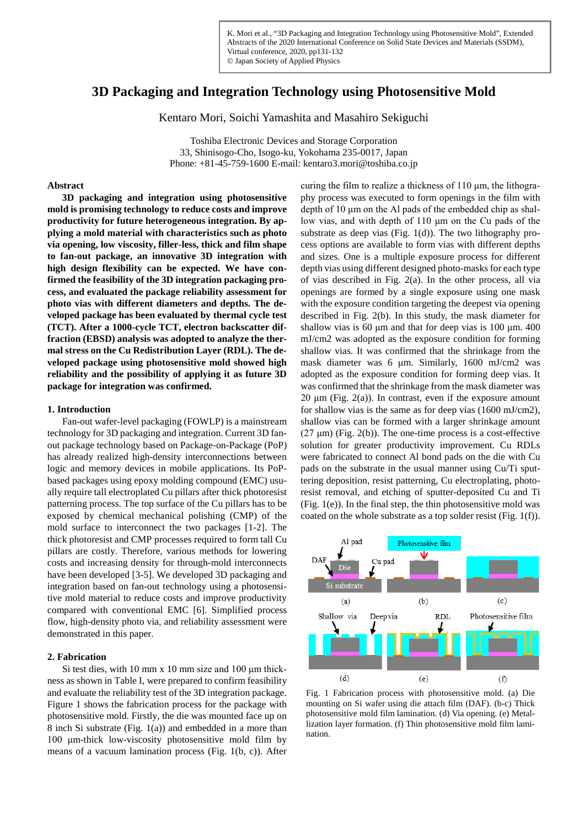# **3D Packaging and Integration Technology using Photosensitive Mold**

Kentaro Mori, Soichi Yamashita and Masahiro Sekiguchi

Toshiba Electronic Devices and Storage Corporation 33, Shinisogo-Cho, Isogo-ku, Yokohama 235-0017, Japan Phone: +81-45-759-1600 E-mail: kentaro3.mori@toshiba.co.jp

# **Abstract**

**3D packaging and integration using photosensitive mold is promising technology to reduce costs and improve productivity for future heterogeneous integration. By applying a mold material with characteristics such as photo via opening, low viscosity, filler-less, thick and film shape to fan-out package, an innovative 3D integration with high design flexibility can be expected. We have confirmed the feasibility of the 3D integration packaging process, and evaluated the package reliability assessment for photo vias with different diameters and depths. The developed package has been evaluated by thermal cycle test (TCT). After a 1000-cycle TCT, electron backscatter diffraction (EBSD) analysis was adopted to analyze the thermal stress on the Cu Redistribution Layer (RDL). The developed package using photosensitive mold showed high reliability and the possibility of applying it as future 3D package for integration was confirmed.**

# **1. Introduction**

 Fan-out wafer-level packaging (FOWLP) is a mainstream technology for 3D packaging and integration. Current 3D fanout package technology based on Package-on-Package (PoP) has already realized high-density interconnections between logic and memory devices in mobile applications. Its PoPbased packages using epoxy molding compound (EMC) usually require tall electroplated Cu pillars after thick photoresist patterning process. The top surface of the Cu pillars has to be exposed by chemical mechanical polishing (CMP) of the mold surface to interconnect the two packages [1-2]. The thick photoresist and CMP processes required to form tall Cu pillars are costly. Therefore, various methods for lowering costs and increasing density for through-mold interconnects have been developed [3-5]. We developed 3D packaging and integration based on fan-out technology using a photosensitive mold material to reduce costs and improve productivity compared with conventional EMC [6]. Simplified process flow, high-density photo via, and reliability assessment were demonstrated in this paper.

# **2. Fabrication**

 Si test dies, with 10 mm x 10 mm size and 100 μm thickness as shown in Table I, were prepared to confirm feasibility and evaluate the reliability test of the 3D integration package. Figure 1 shows the fabrication process for the package with photosensitive mold. Firstly, the die was mounted face up on 8 inch Si substrate (Fig. 1(a)) and embedded in a more than 100 μm-thick low-viscosity photosensitive mold film by means of a vacuum lamination process (Fig. 1(b, c)). After

curing the film to realize a thickness of 110 μm, the lithography process was executed to form openings in the film with depth of 10 μm on the Al pads of the embedded chip as shallow vias, and with depth of 110 μm on the Cu pads of the substrate as deep vias (Fig. 1(d)). The two lithography process options are available to form vias with different depths and sizes. One is a multiple exposure process for different depth vias using different designed photo-masks for each type of vias described in Fig. 2(a). In the other process, all via openings are formed by a single exposure using one mask with the exposure condition targeting the deepest via opening described in Fig. 2(b). In this study, the mask diameter for shallow vias is 60 μm and that for deep vias is 100 μm. 400 mJ/cm2 was adopted as the exposure condition for forming shallow vias. It was confirmed that the shrinkage from the mask diameter was 6 μm. Similarly, 1600 mJ/cm2 was adopted as the exposure condition for forming deep vias. It was confirmed that the shrinkage from the mask diameter was 20 μm (Fig. 2(a)). In contrast, even if the exposure amount for shallow vias is the same as for deep vias (1600 mJ/cm2), shallow vias can be formed with a larger shrinkage amount (27 μm) (Fig. 2(b)). The one-time process is a cost-effective solution for greater productivity improvement. Cu RDLs were fabricated to connect Al bond pads on the die with Cu pads on the substrate in the usual manner using Cu/Ti sputtering deposition, resist patterning, Cu electroplating, photoresist removal, and etching of sputter-deposited Cu and Ti (Fig. 1(e)). In the final step, the thin photosensitive mold was coated on the whole substrate as a top solder resist (Fig. 1(f)).



Fig. 1 Fabrication process with photosensitive mold. (a) Die mounting on Si wafer using die attach film (DAF). (b-c) Thick photosensitive mold film lamination. (d) Via opening. (e) Metallization layer formation. (f) Thin photosensitive mold film lamination.